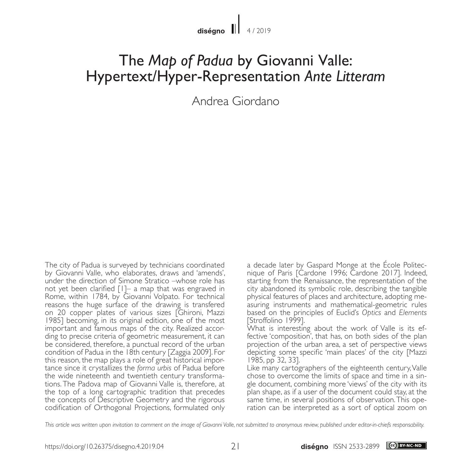## The *Map of Padua* by Giovanni Valle: Hypertext/Hyper-Representation *Ante Litteram*

Andrea Giordano

The city of Padua is surveyed by technicians coordinated by Giovanni Valle, who elaborates, draws and 'amends', under the direction of Simone Stratico –whose role has not yet been clarified [1]– a map that was engraved in Rome, within 1784, by Giovanni Volpato. For technical reasons the huge surface of the drawing is transfered on 20 copper plates of various sizes [Ghironi, Mazzi 1985] becoming, in its original edition, one of the most important and famous maps of the city. Realized accor- ding to precise criteria of geometric measurement, it can be considered, therefore, a punctual record of the urban condition of Padua in the 18th century [Zaggia 2009]. For this reason, the map plays a role of great historical impor- tance since it crystallizes the *forma urbis* of Padua before the wide nineteenth and twentieth century transformations. The Padova map of Giovanni Valle is, therefore, at the top of a long cartographic tradition that precedes the concepts of Descriptive Geometry and the rigorous codification of Orthogonal Projections, formulated only a decade later by Gaspard Monge at the École Politecnique of Paris [Cardone 1996; Cardone 2017]. Indeed, starting from the Renaissance, the representation of the city abandoned its symbolic role, describing the tangible asuring instruments and mathematical-geometric rules based on the principles of Euclid's *Optics* and *Elements* [Stroffolino 1999].

What is interesting about the work of Valle is its ef- fective 'composition', that has, on both sides of the plan projection of the urban area, a set of perspective views depicting some specific 'main places' of the city [Mazzi 1985, pp 32, 33].

Like many cartographers of the eighteenth century, Valle chose to overcome the limits of space and time in a single document, combining more 'views' of the city with its plan shape, as if a user of the document could stay, at the same time, in several positions of observation. This ope- ration can be interpreted as a sort of optical zoom on

*This article was written upon invitation to comment on the image of Giovanni Valle, not submitted to anonymous review, published under editor-in-chiefs responsability.*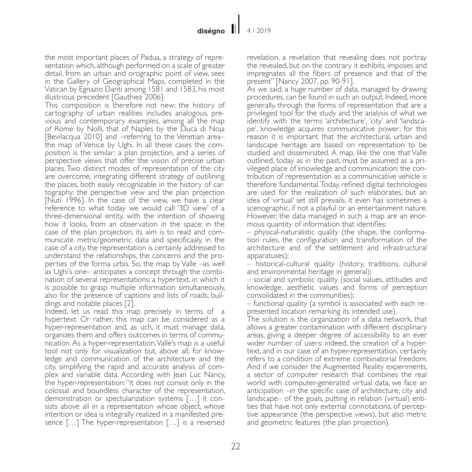the most important places of Padua, a strategy of representation which, although performed on a scale of greater detail, from an urban and orographic point of view, sees in the Gallery of Geographical Maps, completed in the Vatican by Egnazio Danti among 1581 and 1583, his most illustrious precedent [Gauthiez 2006].

This composition is therefore not new: the history of cartography of urban realities includes analogous, previous and contemporary examples, among all the map of Rome by Nolli, that of Naples by the Duca di Noja [Bevilacqua 2010] and –referring to the Venetian area– the map of Venice by Ughi. In all these cases the composition is the similar: a plan projection, and a series of perspective views that offer the vision of precise urban places. Two distinct modes of representation of the city are overcome, integrating different strategy of outilining the places, both easily recognizable in the history of cartography: the perspective view and the plan projection [Nuti 1996]. In the case of the view, we have a clear reference to what today we would call '3D view' of a three-dimensional entity, with the intention of showing how it looks, from an observation in the space; in the case of the plan projection, its aim is to read and communicate metric/geometric data and specificaaly, in the case of a city, the representation is certainly addressed to understand the relationships, the concerns and the properties of the forma urbis. So, the map by Valle –as well as Ughi's one– anticipates a concept through the combination of several representations: a hypertext, in which it is possible to grasp multiple information simultaneously, also for the presence of captions and lists of roads, buildings and notable places [2].

Indeed, let us read this map precisely in terms of a hypertext. Or rather, this map can be considered as a hyper-representation and, as uch, it must manage data, organizes them and offers outcomes in terms of communication. As a hyper-representation, Valle's map is a useful tool not only for visualization but, above all, for knowledge and communication of the architecture and the city, simplifying the rapid and accurate analysis of com- plex and variable data. According with Jean Luc Nancy, the hyper-representation: "it does not consist only in the colossal and boundless character of the representation, demonstration or spectularization systems [...] it consists above all in a representation whose object, whose intention or idea is integrally realized in a manifested presence  $[\dots]$  The hyper-representation  $[\dots]$  is a reversed

revelation, a revelation that revealing does not portray the revealed, but on the contrary it exhibits, imposes and impregnates all the fibers of presence and that of the present" [Nancy 2007, pp. 90-91].

As we said, a huge number of data, managed by drawing procedures, can be found in such an output. Indeed, more generally, through the forms of representation that are a privileged tool for the study and the analysis of what we identify with the terms 'architecture', 'city' and 'landscape', knowledge acquires communicative power; for this reason it is important that the architectural, urban and landscape heritage are based on representation to be studied and disseminated. A map, like the one that Valle outlined, today as in the past, must be assumed as a privileged place of knowledge and communication: the contribution of representation as a communicative vehicle is therefore fundamental. Today, refined digital technologies are used for the realization of such elaborates, but an idea of 'virtual' set still prevails, it even has sometimes a scenographic, if not a playful or an entertainment nature. However, the data managed in such a map are an enormous quantity of information that identifies:

– physical-naturalistic quality (the shape, the conformation rules, the configuration and transformation of the architecture and of the settlement and infrastructural apparatuses);

– historical-cultural quality (history, traditions, cultural and environmental heritage in general);

– social and symbolic quality (social values, attitudes and knowledge, aesthetic values and forms of perception consolidated in the communities);

– functional quality (a symbol is associated with each represented location remarking its intended use).

The solution is the organization of a data network, that allows a greater contamination with different disciplinary areas, giving a deeper degree of accessibility to an ever wider number of users: indeed, the creation of a hypertext, and in our case of an hyper-representation, certainly refers to a condition of extreme combinatorial freedom. And if we consider the Augmented Reality experiments, a sector of computer research that combines the real world with computer-generated virtual data, we face an anticipation –in the specific case of architecture, city and landscape– of the goals, putting in relation (virtual) enti- ties that have not only external connotations, of percep- tive appearance (the perspective views), but also metric and geometric features (the plan projection).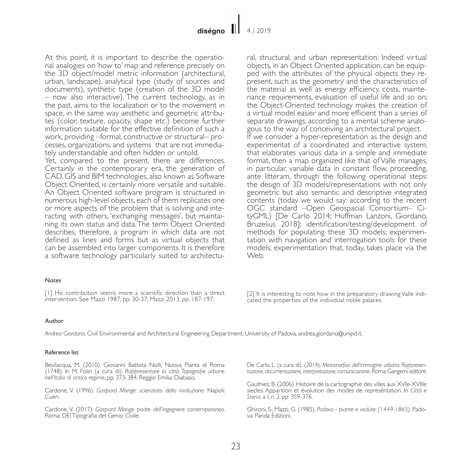At this point, it is important to describe the operational analogies on 'how to' map and reference precisely on the 3D object/model metric information (architectural, urban, landscape), analytical type (study of sources and documents), synthetic type (creation of the 3D model – now also interactive). The current technology, as in the past, aims to the localization or to the movement in space, in the same way aesthetic and geometric attributes (color, texture, opacity, shape etc.) become further information suitable for the effective definition of such a work, providing –formal, constructive or structural– processes, organizations, and systems that are not immediately understandable and often hidden or untold.

Yet, compared to the present, there are differences. Certainly in the contemporary era, the generation of CAD, GIS and BIM technologies, also known as Software Object Oriented, is certainly more versatile and suitable. An Object Oriented software program is structured in numerous high-level objects, each of them replicates one or more aspects of the problem that is solving and interacting with others, 'exchanging messages', but maintaining its own status and data. The term Object Oriented describes, therefore, a program in which data are not defined as lines and forms but as virtual objects that can be assembled into larger components. It is therefore a software technology particularly suited to architectural, structural, and urban representation. Indeed virtual objects, in an Object Oriented application, can be equipped with the attributes of the physical objects they represent, such as the geometry and the characteristics of the material as well as energy efficiency, costs, maintenance requirements, evaluation of useful life and so on; the Object-Oriented technology makes the creation of a virtual model easier and more efficient than a series of separate drawings, according to a mental scheme analogous to the way of conceiving an architectural project. If we consider a hyper-representation as the design and experimentat of a coordinated and interactive system, that elaborates various data in a simple and immediate format, then a map organized like that of Valle manages, in particular, variable data in constant flow, proceeding, ante litteram, through the following operational steps: the design of 3D models/representations with not only geometric but also semantic and descriptive integrated contents (today we would say: according to the recent OGC standard –Open Geospacial Consortium– CityGML) [De Carlo 2014; Huffman Lanzoni, Giordano, Bruzelius 2018]; identification/testing/development of methods for populating these 3D models; experimentation with navigation and interrogation tools for these models, experimentation that, today, takes place via the Web.

## Notes

[1] His contribution seems more a scientific direction than a direct [1] His contribution seems more a scientific direction than a direct [2] It is interesting to note how in the preparatory drawing Valle indi-<br>intervention. See Mazzi 1987, pp. 30-37; Mazzi 2013, pp. 187-197.

cated the properties of the individual noble palaces.

## Author

*Andrea Giordano,* Civil Environmental and Architectural Engineering Department, University of Padova, andrea.giordano@unipd.it.

## Reference list

Bevilacqua, M. (2010). Giovanni Battista Nolli, Nuova Pianta di Roma (1748). In M. Folin (a cura di). *Rappresentare la città. Topografie urbane nell'Italia di antico regime*, pp. 373-384. Reggio Emilia: Diabasis.

Cardone, V. (1996). *Gaspard Monge: scienziato della rivoluzione*. Napoli: Cuen.

Cardone, V. (2017). *Gaspard Monge padre dell'ingegnere contemporaneo*. Roma: DEI Tipografia del Genio Civile.

De Carlo, L. (a cura di). (2014). *Metamorfosi dell'immagine urbana: Rappresentazione, documentazione, interpretazione, comunicazione*. Roma: Gangemi editore.

Gauthiez, B. (2006). Histoire de la cartographie des villes aux XVIe-XVIIIe siecles. Apparition et évolution des modes de represéntation. In *Città e Storia*, a I, n. 2, pp. 359-376.

Ghironi, S., Mazzi, G. (1985). *Padova - piante e vedute: (1449-1865)*. Padova: Panda Edizioni.